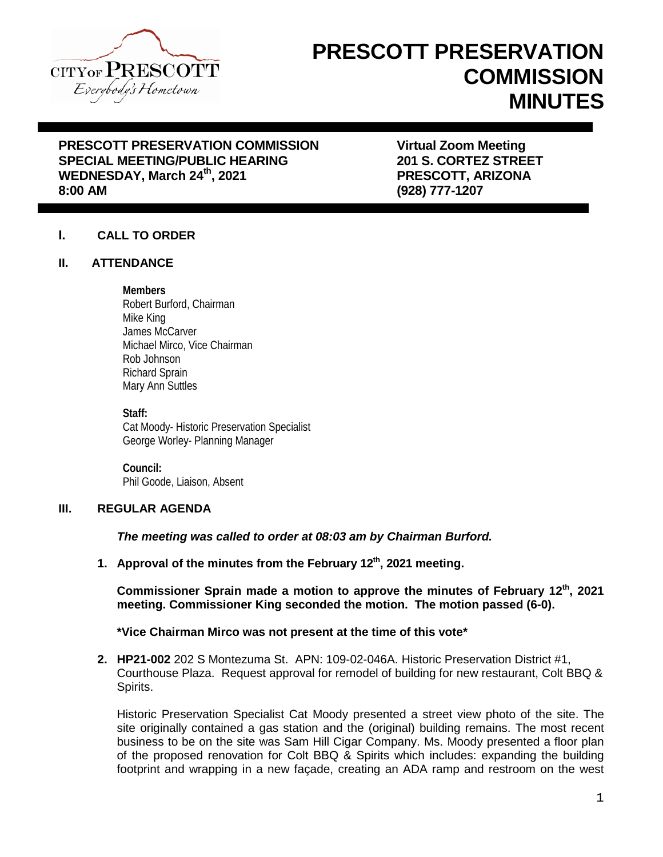

# **PRESCOTT PRESERVATION COMMISSION MINUTES**

## **PRESCOTT PRESERVATION COMMISSION FRESCOTT PRESERVATION COMMISSION FRAGIST VIRTUAL ZOOM Meeting<br>SPECIAL MEETING/PUBLIC HEARING FRAGIST RESONAL SERVICE STREET SPECIAL MEETING/PUBLIC HEARING** WEDNESDAY, March 24<sup>th</sup>, 2021 **PRESCOTT, ARIZONA**<br>8:00 AM

**8:00 AM (928) 777-1207**

#### **I. CALL TO ORDER**

#### **II. ATTENDANCE**

#### **Members**

Robert Burford, Chairman Mike King James McCarver Michael Mirco, Vice Chairman Rob Johnson Richard Sprain Mary Ann Suttles

#### **Staff:**

Cat Moody- Historic Preservation Specialist George Worley- Planning Manager

**Council:** Phil Goode, Liaison, Absent

#### **III. REGULAR AGENDA**

*The meeting was called to order at 08:03 am by Chairman Burford.*

**1. Approval of the minutes from the February 12th, 2021 meeting.**

**Commissioner Sprain made a motion to approve the minutes of February 12th, 2021 meeting. Commissioner King seconded the motion. The motion passed (6-0).**

**\*Vice Chairman Mirco was not present at the time of this vote\***

**2. HP21-002** 202 S Montezuma St. APN: 109-02-046A. Historic Preservation District #1, Courthouse Plaza. Request approval for remodel of building for new restaurant, Colt BBQ & Spirits.

Historic Preservation Specialist Cat Moody presented a street view photo of the site. The site originally contained a gas station and the (original) building remains. The most recent business to be on the site was Sam Hill Cigar Company. Ms. Moody presented a floor plan of the proposed renovation for Colt BBQ & Spirits which includes: expanding the building footprint and wrapping in a new façade, creating an ADA ramp and restroom on the west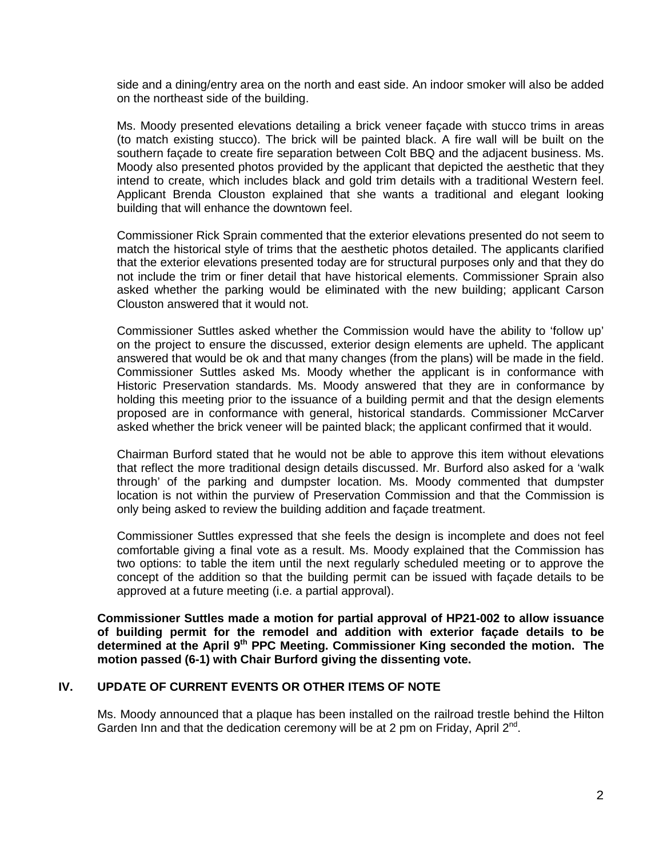side and a dining/entry area on the north and east side. An indoor smoker will also be added on the northeast side of the building.

Ms. Moody presented elevations detailing a brick veneer façade with stucco trims in areas (to match existing stucco). The brick will be painted black. A fire wall will be built on the southern façade to create fire separation between Colt BBQ and the adjacent business. Ms. Moody also presented photos provided by the applicant that depicted the aesthetic that they intend to create, which includes black and gold trim details with a traditional Western feel. Applicant Brenda Clouston explained that she wants a traditional and elegant looking building that will enhance the downtown feel.

Commissioner Rick Sprain commented that the exterior elevations presented do not seem to match the historical style of trims that the aesthetic photos detailed. The applicants clarified that the exterior elevations presented today are for structural purposes only and that they do not include the trim or finer detail that have historical elements. Commissioner Sprain also asked whether the parking would be eliminated with the new building; applicant Carson Clouston answered that it would not.

Commissioner Suttles asked whether the Commission would have the ability to 'follow up' on the project to ensure the discussed, exterior design elements are upheld. The applicant answered that would be ok and that many changes (from the plans) will be made in the field. Commissioner Suttles asked Ms. Moody whether the applicant is in conformance with Historic Preservation standards. Ms. Moody answered that they are in conformance by holding this meeting prior to the issuance of a building permit and that the design elements proposed are in conformance with general, historical standards. Commissioner McCarver asked whether the brick veneer will be painted black; the applicant confirmed that it would.

Chairman Burford stated that he would not be able to approve this item without elevations that reflect the more traditional design details discussed. Mr. Burford also asked for a 'walk through' of the parking and dumpster location. Ms. Moody commented that dumpster location is not within the purview of Preservation Commission and that the Commission is only being asked to review the building addition and façade treatment.

Commissioner Suttles expressed that she feels the design is incomplete and does not feel comfortable giving a final vote as a result. Ms. Moody explained that the Commission has two options: to table the item until the next regularly scheduled meeting or to approve the concept of the addition so that the building permit can be issued with façade details to be approved at a future meeting (i.e. a partial approval).

**Commissioner Suttles made a motion for partial approval of HP21-002 to allow issuance of building permit for the remodel and addition with exterior façade details to be determined at the April 9th PPC Meeting. Commissioner King seconded the motion. The motion passed (6-1) with Chair Burford giving the dissenting vote.**

#### **IV. UPDATE OF CURRENT EVENTS OR OTHER ITEMS OF NOTE**

Ms. Moody announced that a plaque has been installed on the railroad trestle behind the Hilton Garden Inn and that the dedication ceremony will be at 2 pm on Friday, April  $2^{nd}$ .